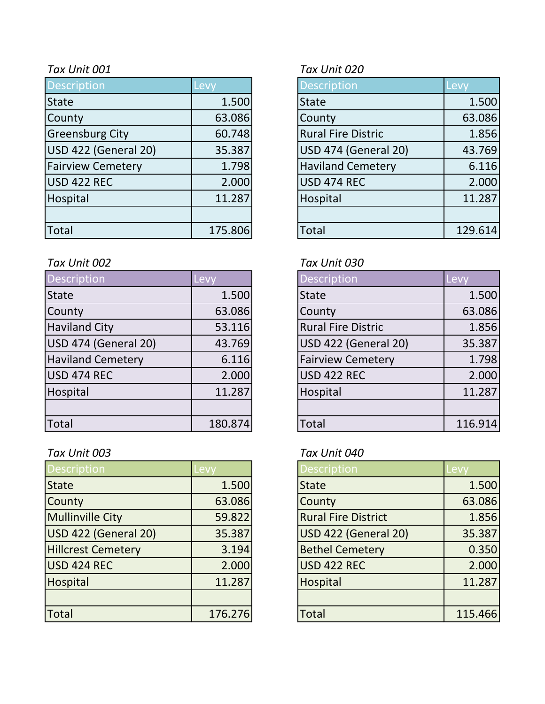| <b>Description</b>       | Levy    | <b>Description</b>        | Levy    |
|--------------------------|---------|---------------------------|---------|
| <b>State</b>             | 1.500   | <b>State</b>              | 1.500   |
| County                   | 63.086  | County                    | 63.086  |
| <b>Greensburg City</b>   | 60.748  | <b>Rural Fire Distric</b> | 1.856   |
| USD 422 (General 20)     | 35.387  | USD 474 (General 20)      | 43.769  |
| <b>Fairview Cemetery</b> | 1.798   | <b>Haviland Cemetery</b>  | 6.116   |
| USD 422 REC              | 2.000   | USD 474 REC               | 2.000   |
| Hospital                 | 11.287  | Hospital                  | 11.287  |
|                          |         |                           |         |
| Total                    | 175.806 | <b>Total</b>              | 129.614 |

### *Tax Unit 002 Tax Unit 030*

| <b>Description</b>       | Levy    | <b>Description</b>        | Levy    |
|--------------------------|---------|---------------------------|---------|
| State                    | 1.500   | <b>State</b>              | 1.500   |
| County                   | 63.086  | County                    | 63.086  |
| <b>Haviland City</b>     | 53.116  | <b>Rural Fire Distric</b> | 1.856   |
| USD 474 (General 20)     | 43.769  | USD 422 (General 20)      | 35.387  |
| <b>Haviland Cemetery</b> | 6.116   | <b>Fairview Cemetery</b>  | 1.798   |
| USD 474 REC              | 2.000   | <b>USD 422 REC</b>        | 2.000   |
| Hospital                 | 11.287  | Hospital                  | 11.287  |
|                          |         |                           |         |
| Total                    | 180.874 | <b>Total</b>              | 116.914 |

## *Tax Unit 003 Tax Unit 040*

| <b>Description</b>        | Levy    | <b>Description</b>         | <b>Levy</b> |
|---------------------------|---------|----------------------------|-------------|
| <b>State</b>              | 1.500   | <b>State</b>               | 1.500       |
| County                    | 63.086  | County                     | 63.086      |
| <b>Mullinville City</b>   | 59.822  | <b>Rural Fire District</b> | 1.856       |
| USD 422 (General 20)      | 35.387  | USD 422 (General 20)       | 35.387      |
| <b>Hillcrest Cemetery</b> | 3.194   | <b>Bethel Cemetery</b>     | 0.350       |
| USD 424 REC               | 2.000   | <b>USD 422 REC</b>         | 2.000       |
| Hospital                  | 11.287  | Hospital                   | 11.287      |
|                           |         |                            |             |
| Total                     | 176.276 | <b>Total</b>               | 115.466     |

## *Tax Unit 001 Tax Unit 020*

| Description                 | Lev     |
|-----------------------------|---------|
| <b>State</b>                | 1.500   |
| County                      | 63.086  |
| <b>Rural Fire Distric</b>   | 1.856   |
| <b>USD 474 (General 20)</b> | 43.769  |
| <b>Haviland Cemetery</b>    | 6.116   |
| <b>USD 474 REC</b>          | 2.000   |
| Hospital                    | 11.287  |
|                             |         |
| <b>Total</b>                | 129.614 |

| <b>Description</b>        | Lev     |
|---------------------------|---------|
| <b>State</b>              | 1.500   |
| County                    | 63.086  |
| <b>Rural Fire Distric</b> | 1.856   |
| USD 422 (General 20)      | 35.387  |
| <b>Fairview Cemetery</b>  | 1.798   |
| USD 422 REC               | 2.000   |
| Hospital                  | 11.287  |
|                           |         |
| Total                     | 116.914 |

| <b>Description</b>         | Levv    |
|----------------------------|---------|
| <b>State</b>               | 1.500   |
| County                     | 63.086  |
| <b>Rural Fire District</b> | 1.856   |
| USD 422 (General 20)       | 35.387  |
| <b>Bethel Cemetery</b>     | 0.350   |
| USD 422 REC                | 2.000   |
| Hospital                   | 11.287  |
|                            |         |
| Total                      | 115.466 |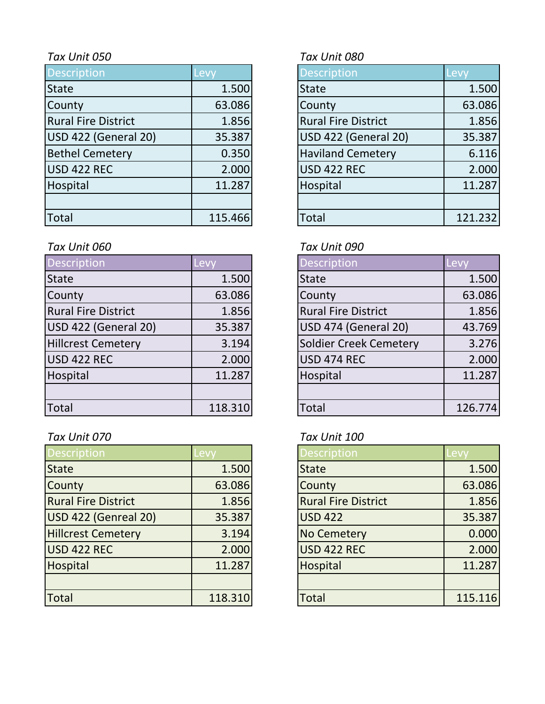| <b>Description</b>         | Levy    | <b>Description</b>         | Levy    |
|----------------------------|---------|----------------------------|---------|
| <b>State</b>               | 1.500   | <b>State</b>               | 1.500   |
| County                     | 63.086  | County                     | 63.086  |
| <b>Rural Fire District</b> | 1.856   | <b>Rural Fire District</b> | 1.856   |
| USD 422 (General 20)       | 35.387  | USD 422 (General 20)       | 35.387  |
| <b>Bethel Cemetery</b>     | 0.350   | <b>Haviland Cemetery</b>   | 6.116   |
| USD 422 REC                | 2.000   | <b>USD 422 REC</b>         | 2.000   |
| Hospital                   | 11.287  | Hospital                   | 11.287  |
|                            |         |                            |         |
| Total                      | 115.466 | <b>Total</b>               | 121.232 |

# *Tax Unit 060 Tax Unit 090*

| Description                | Levy    | <b>Description</b>         | Levy    |
|----------------------------|---------|----------------------------|---------|
| <b>State</b>               | 1.500   | <b>State</b>               | 1.500   |
| County                     | 63.086  | County                     | 63.086  |
| <b>Rural Fire District</b> | 1.856   | <b>Rural Fire District</b> | 1.856   |
| USD 422 (General 20)       | 35.387  | USD 474 (General 20)       | 43.769  |
| <b>Hillcrest Cemetery</b>  | 3.194   | Soldier Creek Cemetery     | 3.276   |
| USD 422 REC                | 2.000   | <b>USD 474 REC</b>         | 2.000   |
| Hospital                   | 11.287  | Hospital                   | 11.287  |
|                            |         |                            |         |
| <b>Total</b>               | 118.310 | Total                      | 126.774 |

# *Tax Unit 070 Tax Unit 100*

| <b>Description</b>         | evy.    | <b>Description</b>         | -evy    |
|----------------------------|---------|----------------------------|---------|
| <b>State</b>               | 1.500   | <b>State</b>               | 1.500   |
| County                     | 63.086  | County                     | 63.086  |
| <b>Rural Fire District</b> | 1.856   | <b>Rural Fire District</b> | 1.856   |
| USD 422 (Genreal 20)       | 35.387  | <b>USD 422</b>             | 35.387  |
| <b>Hillcrest Cemetery</b>  | 3.194   | <b>No Cemetery</b>         | 0.000   |
| USD 422 REC                | 2.000   | <b>USD 422 REC</b>         | 2.000   |
| Hospital                   | 11.287  | Hospital                   | 11.287  |
|                            |         |                            |         |
| <b>Total</b>               | 118.310 | <b>Total</b>               | 115.116 |

# *Tax Unit 050 Tax Unit 080*

| <b>Description</b>          | Levy    |
|-----------------------------|---------|
| State                       | 1.500   |
| County                      | 63.086  |
| <b>Rural Fire District</b>  | 1.856   |
| <b>USD 422 (General 20)</b> | 35.387  |
| <b>Haviland Cemetery</b>    | 6.116   |
| <b>USD 422 REC</b>          | 2.000   |
| Hospital                    | 11.287  |
|                             |         |
| intal                       | 121.232 |

| <b>Description</b>            | <b>Lev</b> |
|-------------------------------|------------|
| <b>State</b>                  | 1.500      |
| County                        | 63.086     |
| <b>Rural Fire District</b>    | 1.856      |
| <b>USD 474 (General 20)</b>   | 43.769     |
| <b>Soldier Creek Cemetery</b> | 3.276      |
| <b>USD 474 REC</b>            | 2.000      |
| Hospital                      | 11.287     |
|                               |            |
| Total                         | 126.774    |

| Description                | Levv    |
|----------------------------|---------|
| <b>State</b>               | 1.500   |
| County                     | 63.086  |
| <b>Rural Fire District</b> | 1.856   |
| <b>USD 422</b>             | 35.387  |
| <b>No Cemetery</b>         | 0.000   |
| <b>USD 422 REC</b>         | 2.000   |
| Hospital                   | 11.287  |
|                            |         |
| <b>Total</b>               | 115.116 |